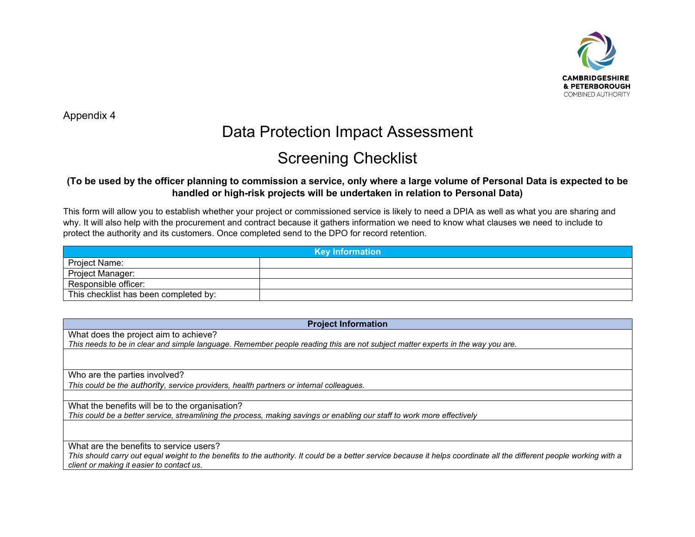

Appendix 4

## Data Protection Impact Assessment

## Screening Checklist

## **(To be used by the officer planning to commission a service, only where a large volume of Personal Data is expected to be handled or high-risk projects will be undertaken in relation to Personal Data)**

This form will allow you to establish whether your project or commissioned service is likely to need a DPIA as well as what you are sharing and why. It will also help with the procurement and contract because it gathers information we need to know what clauses we need to include to protect the authority and its customers. Once completed send to the DPO for record retention.

| Key Information $\mathsf{I}$          |  |  |  |
|---------------------------------------|--|--|--|
| <b>Project Name:</b>                  |  |  |  |
| Project Manager:                      |  |  |  |
| Responsible officer:                  |  |  |  |
| This checklist has been completed by: |  |  |  |

| <b>Project Information</b>                                                                                                                                                                                         |  |  |
|--------------------------------------------------------------------------------------------------------------------------------------------------------------------------------------------------------------------|--|--|
| What does the project aim to achieve?                                                                                                                                                                              |  |  |
| This needs to be in clear and simple language. Remember people reading this are not subject matter experts in the way you are.                                                                                     |  |  |
|                                                                                                                                                                                                                    |  |  |
|                                                                                                                                                                                                                    |  |  |
| Who are the parties involved?                                                                                                                                                                                      |  |  |
| This could be the authority, service providers, health partners or internal colleagues.                                                                                                                            |  |  |
|                                                                                                                                                                                                                    |  |  |
| What the benefits will be to the organisation?                                                                                                                                                                     |  |  |
| This could be a better service, streamlining the process, making savings or enabling our staff to work more effectively                                                                                            |  |  |
|                                                                                                                                                                                                                    |  |  |
|                                                                                                                                                                                                                    |  |  |
| What are the benefits to service users?                                                                                                                                                                            |  |  |
| This should carry out equal weight to the benefits to the authority. It could be a better service because it helps coordinate all the different people working with a<br>client or making it easier to contact us. |  |  |
|                                                                                                                                                                                                                    |  |  |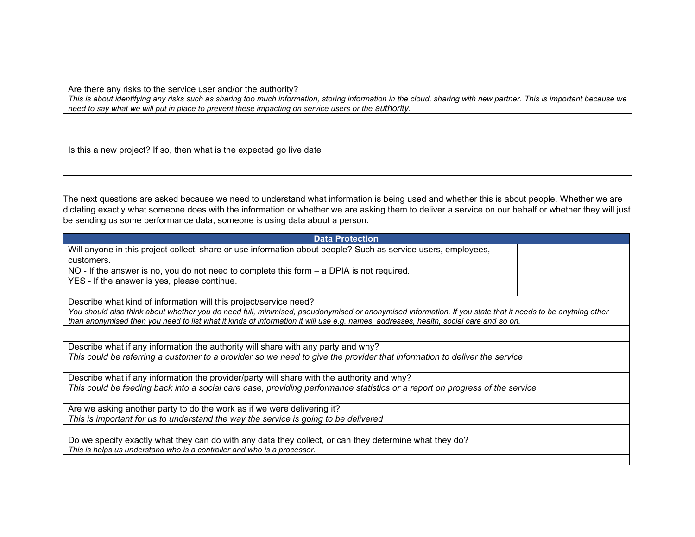Are there any risks to the service user and/or the authority? *This is about identifying any risks such as sharing too much information, storing information in the cloud, sharing with new partner. This is important because we need to say what we will put in place to prevent these impacting on service users or the authority.* 

Is this a new project? If so, then what is the expected go live date

The next questions are asked because we need to understand what information is being used and whether this is about people. Whether we are dictating exactly what someone does with the information or whether we are asking them to deliver a service on our behalf or whether they will just be sending us some performance data, someone is using data about a person.

| <b>Data Protection</b>                                                                                                                                                                                                                                                                            |  |  |  |
|---------------------------------------------------------------------------------------------------------------------------------------------------------------------------------------------------------------------------------------------------------------------------------------------------|--|--|--|
| Will anyone in this project collect, share or use information about people? Such as service users, employees,                                                                                                                                                                                     |  |  |  |
| customers.                                                                                                                                                                                                                                                                                        |  |  |  |
| NO - If the answer is no, you do not need to complete this form $-$ a DPIA is not required.                                                                                                                                                                                                       |  |  |  |
| YES - If the answer is yes, please continue.                                                                                                                                                                                                                                                      |  |  |  |
|                                                                                                                                                                                                                                                                                                   |  |  |  |
| Describe what kind of information will this project/service need?                                                                                                                                                                                                                                 |  |  |  |
| You should also think about whether you do need full, minimised, pseudonymised or anonymised information. If you state that it needs to be anything other<br>than anonymised then you need to list what it kinds of information it will use e.g. names, addresses, health, social care and so on. |  |  |  |
|                                                                                                                                                                                                                                                                                                   |  |  |  |
| Describe what if any information the authority will share with any party and why?                                                                                                                                                                                                                 |  |  |  |
| This could be referring a customer to a provider so we need to give the provider that information to deliver the service                                                                                                                                                                          |  |  |  |
|                                                                                                                                                                                                                                                                                                   |  |  |  |
| Describe what if any information the provider/party will share with the authority and why?                                                                                                                                                                                                        |  |  |  |
| This could be feeding back into a social care case, providing performance statistics or a report on progress of the service                                                                                                                                                                       |  |  |  |
|                                                                                                                                                                                                                                                                                                   |  |  |  |
| Are we asking another party to do the work as if we were delivering it?                                                                                                                                                                                                                           |  |  |  |
| This is important for us to understand the way the service is going to be delivered                                                                                                                                                                                                               |  |  |  |
|                                                                                                                                                                                                                                                                                                   |  |  |  |
| Do we specify exactly what they can do with any data they collect, or can they determine what they do?                                                                                                                                                                                            |  |  |  |
| This is helps us understand who is a controller and who is a processor.                                                                                                                                                                                                                           |  |  |  |
|                                                                                                                                                                                                                                                                                                   |  |  |  |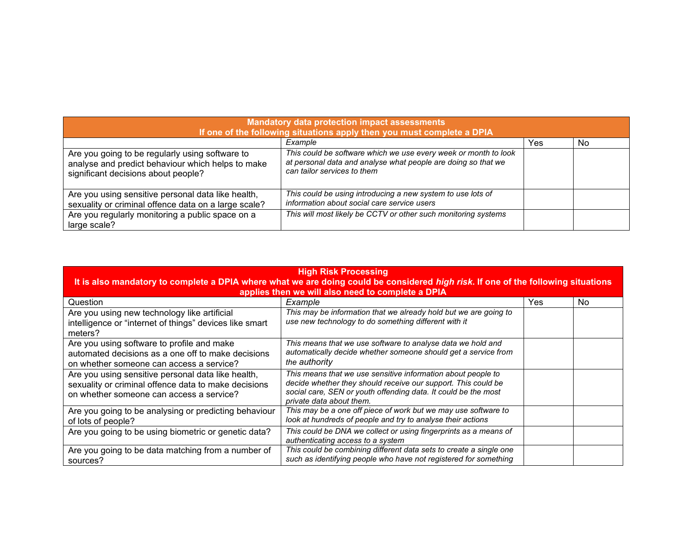| <b>Mandatory data protection impact assessments</b><br>If one of the following situations apply then you must complete a DPIA               |                                                                                                                                                                 |     |    |
|---------------------------------------------------------------------------------------------------------------------------------------------|-----------------------------------------------------------------------------------------------------------------------------------------------------------------|-----|----|
|                                                                                                                                             | Example                                                                                                                                                         | Yes | No |
| Are you going to be regularly using software to<br>analyse and predict behaviour which helps to make<br>significant decisions about people? | This could be software which we use every week or month to look<br>at personal data and analyse what people are doing so that we<br>can tailor services to them |     |    |
| Are you using sensitive personal data like health,<br>sexuality or criminal offence data on a large scale?                                  | This could be using introducing a new system to use lots of<br>information about social care service users                                                      |     |    |
| Are you regularly monitoring a public space on a<br>large scale?                                                                            | This will most likely be CCTV or other such monitoring systems                                                                                                  |     |    |

| <b>High Risk Processing</b><br>It is also mandatory to complete a DPIA where what we are doing could be considered high risk. If one of the following situations<br>applies then we will also need to complete a DPIA |                                                                                                                                                                                                                             |     |     |
|-----------------------------------------------------------------------------------------------------------------------------------------------------------------------------------------------------------------------|-----------------------------------------------------------------------------------------------------------------------------------------------------------------------------------------------------------------------------|-----|-----|
| Question                                                                                                                                                                                                              | Example                                                                                                                                                                                                                     | Yes | No. |
| Are you using new technology like artificial<br>intelligence or "internet of things" devices like smart<br>meters?                                                                                                    | This may be information that we already hold but we are going to<br>use new technology to do something different with it                                                                                                    |     |     |
| Are you using software to profile and make<br>automated decisions as a one off to make decisions<br>on whether someone can access a service?                                                                          | This means that we use software to analyse data we hold and<br>automatically decide whether someone should get a service from<br>the authority                                                                              |     |     |
| Are you using sensitive personal data like health,<br>sexuality or criminal offence data to make decisions<br>on whether someone can access a service?                                                                | This means that we use sensitive information about people to<br>decide whether they should receive our support. This could be<br>social care, SEN or youth offending data. It could be the most<br>private data about them. |     |     |
| Are you going to be analysing or predicting behaviour<br>of lots of people?                                                                                                                                           | This may be a one off piece of work but we may use software to<br>look at hundreds of people and try to analyse their actions                                                                                               |     |     |
| Are you going to be using biometric or genetic data?                                                                                                                                                                  | This could be DNA we collect or using fingerprints as a means of<br>authenticating access to a system                                                                                                                       |     |     |
| Are you going to be data matching from a number of<br>sources?                                                                                                                                                        | This could be combining different data sets to create a single one<br>such as identifying people who have not registered for something                                                                                      |     |     |